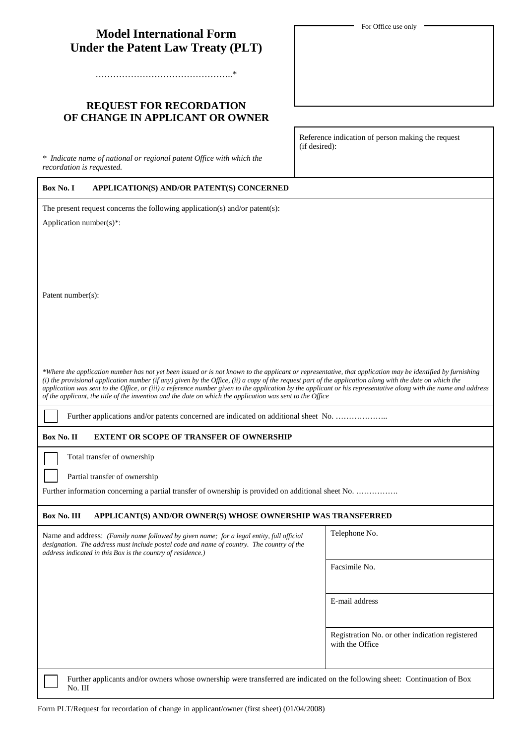## **Model International Form Under the Patent Law Treaty (PLT)**

………………………………………..\*

### **REQUEST FOR RECORDATION OF CHANGE IN APPLICANT OR OWNER**

*\* Indicate name of national or regional patent Office with which the recordation is requested.*

#### **Box No. I APPLICATION(S) AND/OR PATENT(S) CONCERNED**

The present request concerns the following application(s) and/or patent(s):

Application number(s)\*:

Patent number(s):

*\*Where the application number has not yet been issued or is not known to the applicant or representative, that application may be identified by furnishing (i) the provisional application number (if any) given by the Office, (ii) a copy of the request part of the application along with the date on which the application was sent to the Office, or (iii) a reference number given to the application by the applicant or his representative along with the name and address of the applicant, the title of the invention and the date on which the application was sent to the Office*

Further applications and/or patents concerned are indicated on additional sheet No. ……………………

#### **Box No. II EXTENT OR SCOPE OF TRANSFER OF OWNERSHIP**

Total transfer of ownership

Partial transfer of ownership

Further information concerning a partial transfer of ownership is provided on additional sheet No. …………….

#### **Box No. III APPLICANT(S) AND/OR OWNER(S) WHOSE OWNERSHIP WAS TRANSFERRED**

Name and address: *(Family name followed by given name; for a legal entity, full official designation. The address must include postal code and name of country. The country of the address indicated in this Box is the country of residence.)*

Telephone No.

Facsimile No.

E-mail address

Registration No. or other indication registered with the Office

Further applicants and/or owners whose ownership were transferred are indicated on the following sheet: Continuation of Box No. III

For Office use only

Reference indication of person making the request (if desired):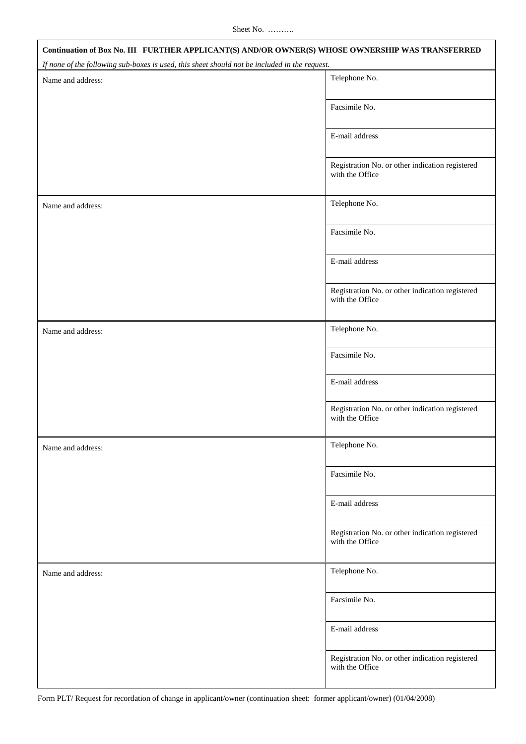# Sheet No. ………..

| Continuation of Box No. III FURTHER APPLICANT(S) AND/OR OWNER(S) WHOSE OWNERSHIP WAS TRANSFERRED |                                                                    |  |
|--------------------------------------------------------------------------------------------------|--------------------------------------------------------------------|--|
| If none of the following sub-boxes is used, this sheet should not be included in the request.    |                                                                    |  |
| Name and address:                                                                                | Telephone No.                                                      |  |
|                                                                                                  | Facsimile No.                                                      |  |
|                                                                                                  | E-mail address                                                     |  |
|                                                                                                  | Registration No. or other indication registered<br>with the Office |  |
| Name and address:                                                                                | Telephone No.                                                      |  |
|                                                                                                  | Facsimile No.                                                      |  |
|                                                                                                  | E-mail address                                                     |  |
|                                                                                                  | Registration No. or other indication registered<br>with the Office |  |
| Name and address:                                                                                | Telephone No.                                                      |  |
|                                                                                                  | Facsimile No.                                                      |  |
|                                                                                                  | E-mail address                                                     |  |
|                                                                                                  | Registration No. or other indication registered<br>with the Office |  |
| Name and address:                                                                                | Telephone No.                                                      |  |
|                                                                                                  | Facsimile No.                                                      |  |
|                                                                                                  | E-mail address                                                     |  |
|                                                                                                  | Registration No. or other indication registered<br>with the Office |  |
| Name and address:                                                                                | Telephone No.                                                      |  |
|                                                                                                  | Facsimile No.                                                      |  |
|                                                                                                  | E-mail address                                                     |  |
|                                                                                                  | Registration No. or other indication registered<br>with the Office |  |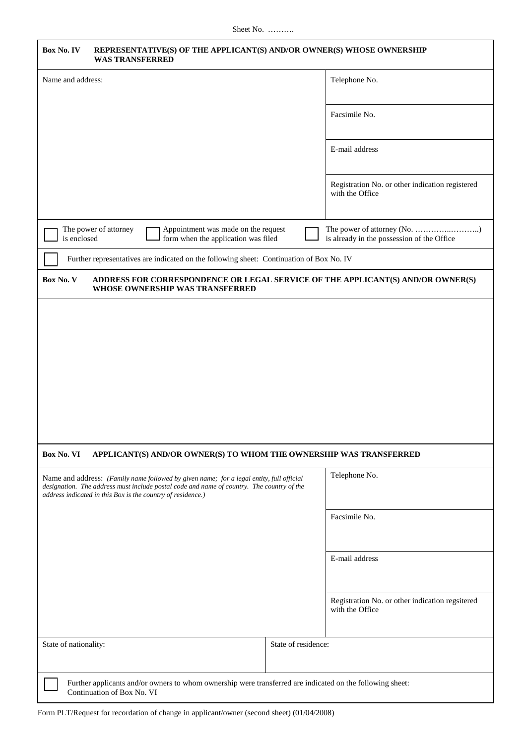| Box No. IV<br>REPRESENTATIVE(S) OF THE APPLICANT(S) AND/OR OWNER(S) WHOSE OWNERSHIP<br><b>WAS TRANSFERRED</b>                                                                                                                                        |                                                                                 |
|------------------------------------------------------------------------------------------------------------------------------------------------------------------------------------------------------------------------------------------------------|---------------------------------------------------------------------------------|
| Name and address:                                                                                                                                                                                                                                    | Telephone No.                                                                   |
|                                                                                                                                                                                                                                                      | Facsimile No.                                                                   |
|                                                                                                                                                                                                                                                      | E-mail address                                                                  |
|                                                                                                                                                                                                                                                      | Registration No. or other indication registered<br>with the Office              |
| The power of attorney<br>Appointment was made on the request<br>is enclosed<br>form when the application was filed                                                                                                                                   | is already in the possession of the Office                                      |
| Further representatives are indicated on the following sheet: Continuation of Box No. IV                                                                                                                                                             |                                                                                 |
| Box No. V<br>WHOSE OWNERSHIP WAS TRANSFERRED                                                                                                                                                                                                         | ADDRESS FOR CORRESPONDENCE OR LEGAL SERVICE OF THE APPLICANT(S) AND/OR OWNER(S) |
|                                                                                                                                                                                                                                                      |                                                                                 |
|                                                                                                                                                                                                                                                      |                                                                                 |
|                                                                                                                                                                                                                                                      |                                                                                 |
|                                                                                                                                                                                                                                                      |                                                                                 |
|                                                                                                                                                                                                                                                      |                                                                                 |
|                                                                                                                                                                                                                                                      |                                                                                 |
| Box No. VI<br>APPLICANT(S) AND/OR OWNER(S) TO WHOM THE OWNERSHIP WAS TRANSFERRED                                                                                                                                                                     |                                                                                 |
| Name and address: (Family name followed by given name; for a legal entity, full official<br>designation. The address must include postal code and name of country. The country of the<br>address indicated in this Box is the country of residence.) | Telephone No.                                                                   |
|                                                                                                                                                                                                                                                      | Facsimile No.                                                                   |
|                                                                                                                                                                                                                                                      | E-mail address                                                                  |
|                                                                                                                                                                                                                                                      | Registration No. or other indication regsitered<br>with the Office              |
| State of nationality:                                                                                                                                                                                                                                | State of residence:                                                             |
| Further applicants and/or owners to whom ownership were transferred are indicated on the following sheet:<br>Continuation of Box No. VI                                                                                                              |                                                                                 |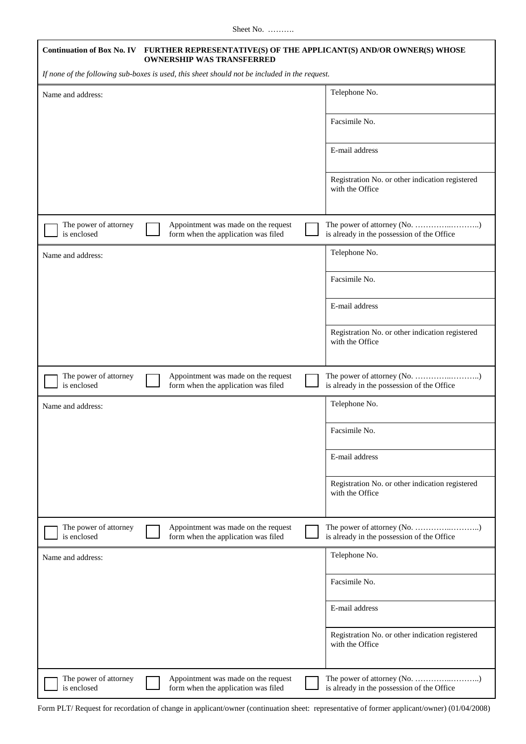Sheet No. ……….

|                                      | Continuation of Box No. IV FURTHER REPRESENTATIVE(S) OF THE APPLICANT(S) AND/OR OWNER(S) WHOSE<br><b>OWNERSHIP WAS TRANSFERRED</b> |                                                                            |
|--------------------------------------|------------------------------------------------------------------------------------------------------------------------------------|----------------------------------------------------------------------------|
|                                      | If none of the following sub-boxes is used, this sheet should not be included in the request.                                      |                                                                            |
| Name and address:                    |                                                                                                                                    | Telephone No.                                                              |
|                                      |                                                                                                                                    | Facsimile No.                                                              |
|                                      |                                                                                                                                    | E-mail address                                                             |
|                                      |                                                                                                                                    | Registration No. or other indication registered<br>with the Office         |
| The power of attorney<br>is enclosed | Appointment was made on the request<br>form when the application was filed                                                         | The power of attorney (No. )<br>is already in the possession of the Office |
| Name and address:                    |                                                                                                                                    | Telephone No.                                                              |
|                                      |                                                                                                                                    | Facsimile No.                                                              |
|                                      |                                                                                                                                    | E-mail address                                                             |
|                                      |                                                                                                                                    | Registration No. or other indication registered<br>with the Office         |
| The power of attorney<br>is enclosed | Appointment was made on the request<br>form when the application was filed                                                         | The power of attorney (No. )<br>is already in the possession of the Office |
| Name and address:                    |                                                                                                                                    | Telephone No.                                                              |
|                                      |                                                                                                                                    | Facsimile No.                                                              |
|                                      |                                                                                                                                    | E-mail address                                                             |
|                                      |                                                                                                                                    | Registration No. or other indication registered<br>with the Office         |
| The power of attorney<br>is enclosed | Appointment was made on the request<br>form when the application was filed                                                         | is already in the possession of the Office                                 |
| Name and address:                    |                                                                                                                                    | Telephone No.                                                              |
|                                      |                                                                                                                                    | Facsimile No.                                                              |
|                                      |                                                                                                                                    | E-mail address                                                             |
|                                      |                                                                                                                                    | Registration No. or other indication registered<br>with the Office         |
| The power of attorney<br>is enclosed | Appointment was made on the request<br>form when the application was filed                                                         | The power of attorney (No. )<br>is already in the possession of the Office |

Form PLT/ Request for recordation of change in applicant/owner (continuation sheet: representative of former applicant/owner) (01/04/2008)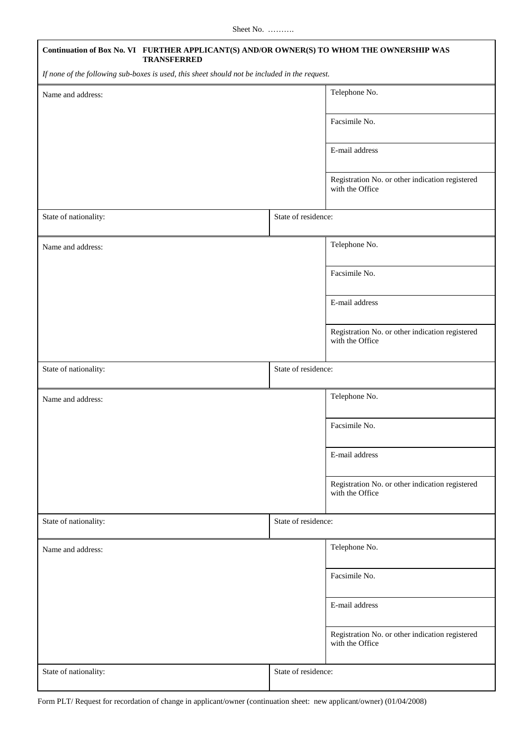| Continuation of Box No. VI FURTHER APPLICANT(S) AND/OR OWNER(S) TO WHOM THE OWNERSHIP WAS<br><b>TRANSFERRED</b> |                                                                    |
|-----------------------------------------------------------------------------------------------------------------|--------------------------------------------------------------------|
| If none of the following sub-boxes is used, this sheet should not be included in the request.                   |                                                                    |
| Name and address:                                                                                               | Telephone No.                                                      |
|                                                                                                                 | Facsimile No.                                                      |
|                                                                                                                 | E-mail address                                                     |
|                                                                                                                 | Registration No. or other indication registered<br>with the Office |
| State of nationality:                                                                                           | State of residence:                                                |
| Name and address:                                                                                               | Telephone No.                                                      |
|                                                                                                                 | Facsimile No.                                                      |
|                                                                                                                 | E-mail address                                                     |
|                                                                                                                 | Registration No. or other indication registered<br>with the Office |
| State of nationality:                                                                                           | State of residence:                                                |
| Name and address:                                                                                               | Telephone No.                                                      |
|                                                                                                                 | Facsimile No.                                                      |
|                                                                                                                 | E-mail address                                                     |
|                                                                                                                 | Registration No. or other indication registered<br>with the Office |
| State of nationality:                                                                                           | State of residence:                                                |
| Name and address:                                                                                               | Telephone No.                                                      |
|                                                                                                                 | Facsimile No.                                                      |
|                                                                                                                 | E-mail address                                                     |
|                                                                                                                 | Registration No. or other indication registered<br>with the Office |
| State of nationality:                                                                                           | State of residence:                                                |

Form PLT/ Request for recordation of change in applicant/owner (continuation sheet: new applicant/owner) (01/04/2008)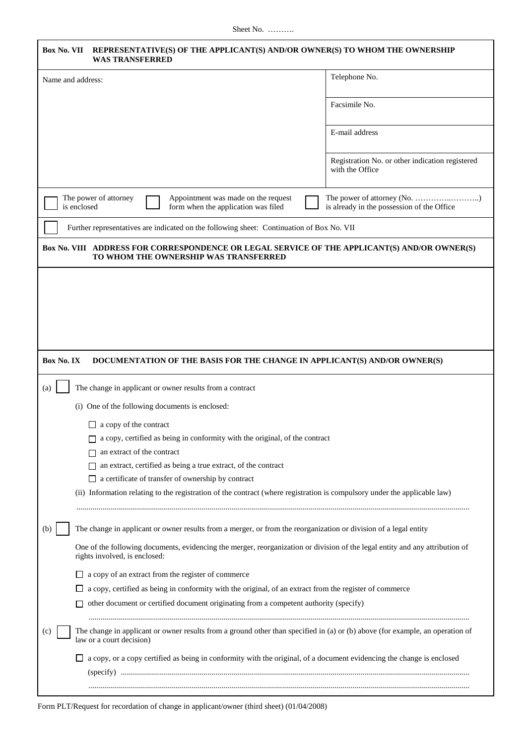Ĭ

|                   | REPRESENTATIVE(S) OF THE APPLICANT(S) AND/OR OWNER(S) TO WHOM THE OWNERSHIP<br><b>WAS TRANSFERRED</b>                                                         |                                                                    |
|-------------------|---------------------------------------------------------------------------------------------------------------------------------------------------------------|--------------------------------------------------------------------|
| Name and address: |                                                                                                                                                               | Telephone No.                                                      |
|                   |                                                                                                                                                               | Facsimile No.                                                      |
|                   |                                                                                                                                                               | E-mail address                                                     |
|                   |                                                                                                                                                               | Registration No. or other indication registered<br>with the Office |
| is enclosed       | The power of attorney<br>Appointment was made on the request<br>form when the application was filed                                                           | is already in the possession of the Office                         |
|                   | Further representatives are indicated on the following sheet: Continuation of Box No. VII                                                                     |                                                                    |
|                   | Box No. VIII ADDRESS FOR CORRESPONDENCE OR LEGAL SERVICE OF THE APPLICANT(S) AND/OR OWNER(S)<br>TO WHOM THE OWNERSHIP WAS TRANSFERRED                         |                                                                    |
|                   |                                                                                                                                                               |                                                                    |
|                   |                                                                                                                                                               |                                                                    |
|                   |                                                                                                                                                               |                                                                    |
|                   |                                                                                                                                                               |                                                                    |
|                   |                                                                                                                                                               |                                                                    |
| Box No. IX        | DOCUMENTATION OF THE BASIS FOR THE CHANGE IN APPLICANT(S) AND/OR OWNER(S)                                                                                     |                                                                    |
| (a)               | The change in applicant or owner results from a contract                                                                                                      |                                                                    |
|                   | (i) One of the following documents is enclosed:                                                                                                               |                                                                    |
|                   | a copy of the contract<br>$\perp$                                                                                                                             |                                                                    |
|                   | a copy, certified as being in conformity with the original, of the contract                                                                                   |                                                                    |
|                   | an extract of the contract                                                                                                                                    |                                                                    |
|                   | an extract, certified as being a true extract, of the contract                                                                                                |                                                                    |
|                   | a certificate of transfer of ownership by contract<br>Ш                                                                                                       |                                                                    |
|                   | (ii) Information relating to the registration of the contract (where registration is compulsory under the applicable law)                                     |                                                                    |
| (b)               | The change in applicant or owner results from a merger, or from the reorganization or division of a legal entity                                              |                                                                    |
|                   | One of the following documents, evidencing the merger, reorganization or division of the legal entity and any attribution of<br>rights involved, is enclosed: |                                                                    |
|                   | a copy of an extract from the register of commerce                                                                                                            |                                                                    |
|                   | a copy, certified as being in conformity with the original, of an extract from the register of commerce                                                       |                                                                    |
|                   | other document or certified document originating from a competent authority (specify)                                                                         |                                                                    |
|                   |                                                                                                                                                               |                                                                    |
| (c)               | The change in applicant or owner results from a ground other than specified in (a) or (b) above (for example, an operation of                                 |                                                                    |
|                   | law or a court decision)                                                                                                                                      |                                                                    |
|                   | a copy, or a copy certified as being in conformity with the original, of a document evidencing the change is enclosed                                         |                                                                    |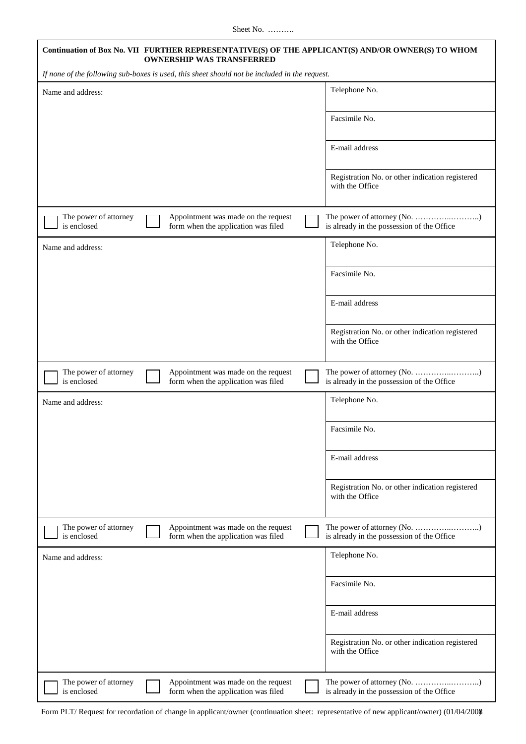Sheet No. ……….

|                                      | Continuation of Box No. VII FURTHER REPRESENTATIVE(S) OF THE APPLICANT(S) AND/OR OWNER(S) TO WHOM<br><b>OWNERSHIP WAS TRANSFERRED</b> |                                                                            |
|--------------------------------------|---------------------------------------------------------------------------------------------------------------------------------------|----------------------------------------------------------------------------|
|                                      | If none of the following sub-boxes is used, this sheet should not be included in the request.                                         |                                                                            |
| Name and address:                    |                                                                                                                                       | Telephone No.                                                              |
|                                      |                                                                                                                                       | Facsimile No.                                                              |
|                                      |                                                                                                                                       | E-mail address                                                             |
|                                      |                                                                                                                                       | Registration No. or other indication registered<br>with the Office         |
| The power of attorney<br>is enclosed | Appointment was made on the request<br>form when the application was filed                                                            | is already in the possession of the Office                                 |
| Name and address:                    |                                                                                                                                       | Telephone No.                                                              |
|                                      |                                                                                                                                       | Facsimile No.                                                              |
|                                      |                                                                                                                                       | E-mail address                                                             |
|                                      |                                                                                                                                       | Registration No. or other indication registered<br>with the Office         |
| The power of attorney<br>is enclosed | Appointment was made on the request<br>form when the application was filed                                                            | The power of attorney (No. )<br>is already in the possession of the Office |
| Name and address:                    |                                                                                                                                       | Telephone No.                                                              |
|                                      |                                                                                                                                       | Facsimile No.                                                              |
|                                      |                                                                                                                                       | E-mail address                                                             |
|                                      |                                                                                                                                       | Registration No. or other indication registered<br>with the Office         |
| The power of attorney<br>is enclosed | Appointment was made on the request<br>form when the application was filed                                                            | is already in the possession of the Office                                 |
| Name and address:                    |                                                                                                                                       | Telephone No.                                                              |
|                                      |                                                                                                                                       | Facsimile No.                                                              |
|                                      |                                                                                                                                       | E-mail address                                                             |
|                                      |                                                                                                                                       | Registration No. or other indication registered<br>with the Office         |
| The power of attorney<br>is enclosed | Appointment was made on the request<br>form when the application was filed                                                            | is already in the possession of the Office                                 |

Form PLT/ Request for recordation of change in applicant/owner (continuation sheet: representative of new applicant/owner) (01/04/2008)

 $\mathbf l$ 

I